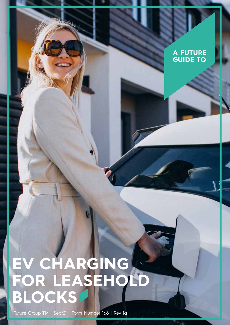#### **A FUTURE GUIDE TO**

#### **EV CHARGING FOR LEASEHOLD BLOCKS**

Future Group TM | Sept21 | Form Number 166 | Rev 1a

15884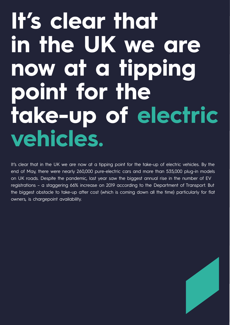# It's clear that **in the UK we are now at a tipping point for the take-up of electric vehicles.**

It's clear that in the UK we are now at a tipping point for the take-up of electric vehicles. By the end of May, there were nearly 260,000 pure-electric cars and more than 535,000 plug-in models on UK roads. Despite the pandemic, last year saw the biggest annual rise in the number of EV registrations – a staggering 66% increase on 2019 according to the Department of Transport. But the biggest obstacle to take-up after cost (which is coming down all the time) particularly for flat owners, is chargepoint availability.

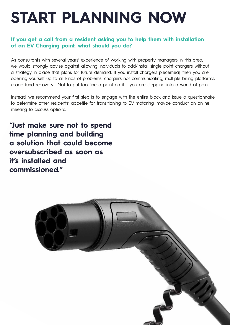# **START PLANNING NOW**

#### **If you get a call from a resident asking you to help them with installation of an EV Charging point, what should you do?**

As consultants with several years' experience of working with property managers in this area, we would strongly advise against allowing individuals to add/install single point chargers without a strategy in place that plans for future demand. If you install chargers piecemeal, then you are opening yourself up to all kinds of problems: chargers not communicating, multiple billing platforms, usage fund recovery. Not to put too fine a point on it – you are stepping into a world of pain.

Instead, we recommend your first step is to engage with the entire block and issue a questionnaire to determine other residents' appetite for transitioning to EV motoring; maybe conduct an online meeting to discuss options.

**"Just make sure not to spend time planning and building a solution that could become oversubscribed as soon as it's installed and commissioned."** 

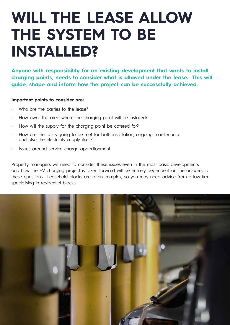#### **WILL THE LEASE ALLOW THE SYSTEM TO BE INSTALLED?**

**Anyone with responsibility for an existing development that wants to install charging points, needs to consider what is allowed under the lease. This will guide, shape and inform how the project can be successfully achieved.** 

#### **Important points to consider are:**

- Who are the parties to the lease?
- How owns the area where the charging point will be installed?
- How will the supply for the charging point be catered for?
- How are the costs going to be met for both installation, ongoing maintenance and also the electricity supply itself?
- Issues around service charge apportionment

Property managers will need to consider these issues even in the most basic developments and how the EV charging project is taken forward will be entirely dependent on the answers to these questions. Leasehold blocks are often complex, so you may need advice from a law firm specialising in residential blocks.

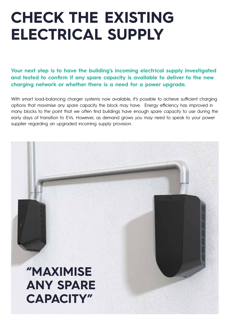## **CHECK THE EXISTING ELECTRICAL SUPPLY**

Your next step is to have the building's incoming electrical supply investigated **and tested to confirm if any spare capacity is available to deliver to the new charging network or whether there is a need for a power upgrade.**

With smart load-balancing charger systems now available, it's possible to achieve sufficient charging options that maximise any spare capacity the block may have. Energy efficiency has improved in many blocks to the point that we often find buildings have enough spare capacity to use during the early days of transition to EVs. However, as demand grows you may need to speak to your power supplier regarding an upgraded incoming supply provision.

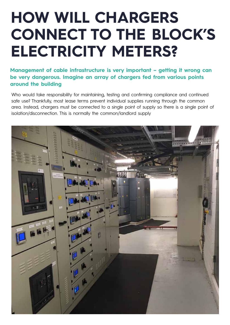## **HOW WILL CHARGERS CONNECT TO THE BLOCK'S ELECTRICITY METERS?**

**Management of cable infrastructure is very important – getting it wrong can be very dangerous. Imagine an array of chargers fed from various points around the building**

Who would take responsibility for maintaining, testing and confirming compliance and continued safe use? Thankfully, most lease terms prevent individual supplies running through the common area. Instead, chargers must be connected to a single point of supply so there is a single point of isolation/disconnection. This is normally the common/landlord supply

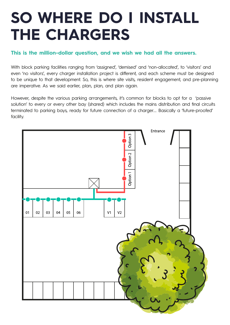## **SO WHERE DO I INSTALL THE CHARGERS**

#### **This is the million-dollar question, and we wish we had all the answers.**

With block parking facilities ranging from 'assigned', 'demised' and 'non-allocated', to 'visitors' and even 'no visitors', every charger installation project is different, and each scheme must be designed to be unique to that development. So, this is where site visits, resident engagement, and pre-planning are imperative. As we said earlier, plan, plan, and plan again.

However, despite the various parking arrangements, it's common for blocks to opt for a 'passive solution' to every or every other bay (shared) which includes the mains distribution and final circuits terminated to parking bays, ready for future connection of a charger…. Basically a 'future-proofed' facility.

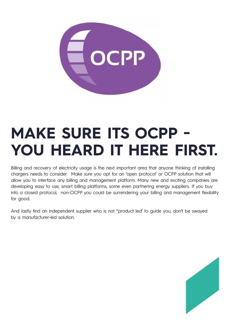

## **MAKE SURE ITS OCPP - YOU HEARD IT HERE FIRST.**

Billing and recovery of electricity usage is the next important area that anyone thinking of installing chargers needs to consider. Make sure you opt for an 'open protocol' or OCPP solution that will allow you to interface any billing and management platform. Many new and exciting companies are developing easy to use, smart billing platforms, some even partnering energy suppliers. If you buy into a closed protocol, non-OCPP you could be surrendering your billing and management flexibility for good.

And lastly find an independent supplier who is not "product led' to guide you, don't be swayed by a manufacturer-led solution.

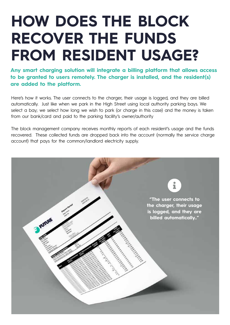## **HOW DOES THE BLOCK RECOVER THE FUNDS FROM RESIDENT USAGE?**

**Any smart charging solution will integrate a billing platform that allows access to be granted to users remotely. The charger is installed, and the resident(s) are added to the platform.** 

Here's how it works. The user connects to the charger, their usage is logged, and they are billed automatically. Just like when we park in the High Street using local authority parking bays. We select a bay; we select how long we wish to park (or charge in this case) and the money is taken from our bank/card and paid to the parking facility's owner/authority

The block management company receives monthly reports of each resident's usage and the funds recovered. These collected funds are dropped back into the account (normally the service charge account) that pays for the common/landlord electricity supply.

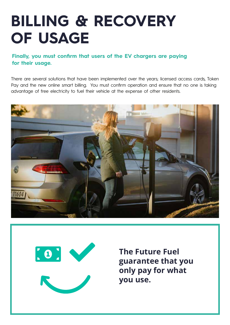#### **BILLING & RECOVERY OF USAGE**

#### **Finally, you must confirm that users of the EV chargers are paying for their usage.**

There are several solutions that have been implemented over the years; licensed access cards, Token Pay and the new online smart billing. You must confirm operation and ensure that no one is taking advantage of free electricity to fuel their vehicle at the expense of other residents.





**The Future Fuel guarantee that you only pay for what you use.**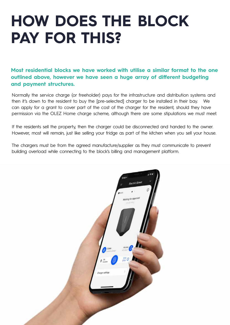#### **HOW DOES THE BLOCK PAY FOR THIS?**

**Most residential blocks we have worked with utilise a similar format to the one outlined above, however we have seen a huge array of different budgeting and payment structures.** 

Normally the service charge (or freeholder) pays for the infrastructure and distribution systems and then it's down to the resident to buy the [pre-selected] charger to be installed in their bay. We can apply for a grant to cover part of the cost of the charger for the resident, should they have permission via the OLEZ Home charge scheme, although there are some stipulations we must meet.

If the residents sell the property, then the charger could be disconnected and handed to the owner. However, most will remain, just like selling your fridge as part of the kitchen when you sell your house.

The chargers must be from the agreed manufacture/supplier as they must communicate to prevent building overload while connecting to the block's billing and management platform.

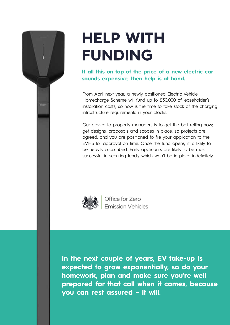## **HELP WITH FUNDING**

**If all this on top of the price of a new electric car sounds expensive, then help is at hand.** 

From April next year, a newly positioned Electric Vehicle Homecharge Scheme will fund up to £30,000 of leaseholder's installation costs, so now is the time to take stock of the charging infrastructure requirements in your blocks.

Our advice to property managers is to get the ball rolling now; get designs, proposals and scopes in place, so projects are agreed, and you are positioned to file your application to the EVHS for approval on time. Once the fund opens, it is likely to be heavily subscribed. Early applicants are likely to be most successful in securing funds, which won't be in place indefinitely.



Office for Zero **Emission Vehicles** 

**In the next couple of years, EV take-up is expected to grow exponentially, so do your homework, plan and make sure you're well prepared for that call when it comes, because you can rest assured – it will.**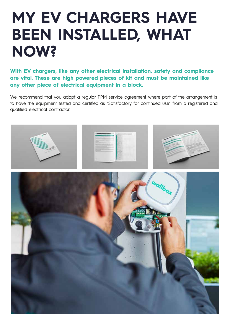#### **MY EV CHARGERS HAVE BEEN INSTALLED, WHAT NOW?**

**With EV chargers, like any other electrical installation, safety and compliance are vital. These are high powered pieces of kit and must be maintained like any other piece of electrical equipment in a block.**

We recommend that you adopt a regular PPM service agreement where part of the arrangement is to have the equipment tested and certified as "Satisfactory for continued use" from a registered and qualified electrical contractor.